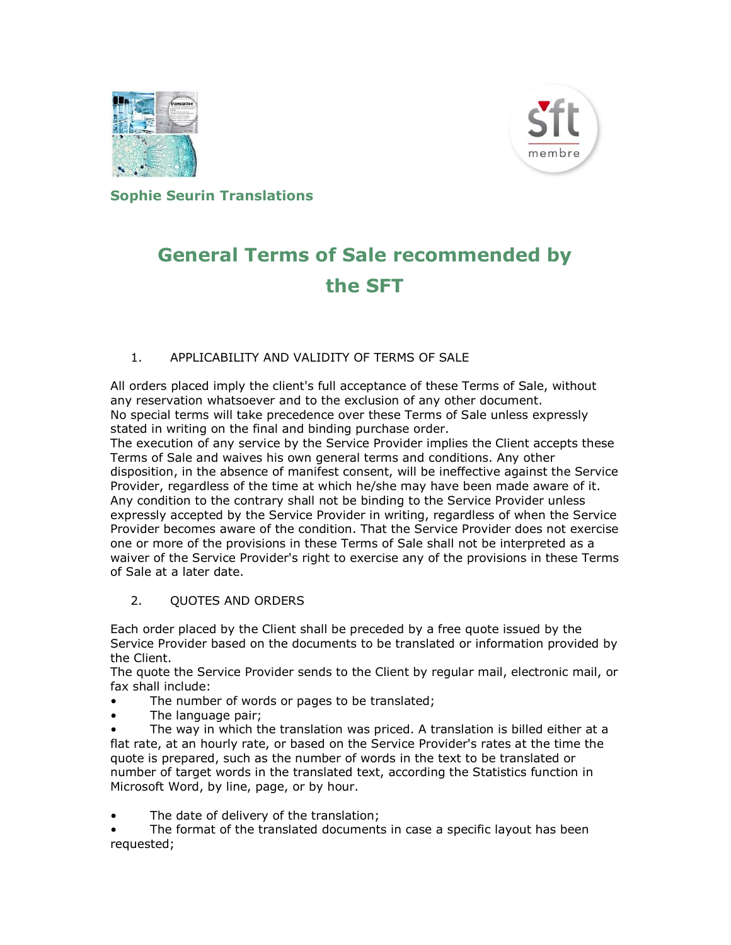



Sophie Seurin Translations

# General Terms of Sale recommended by the SFT

## 1. APPLICABILITY AND VALIDITY OF TERMS OF SALE

All orders placed imply the client's full acceptance of these Terms of Sale, without any reservation whatsoever and to the exclusion of any other document. No special terms will take precedence over these Terms of Sale unless expressly stated in writing on the final and binding purchase order.

The execution of any service by the Service Provider implies the Client accepts these Terms of Sale and waives his own general terms and conditions. Any other disposition, in the absence of manifest consent, will be ineffective against the Service Provider, regardless of the time at which he/she may have been made aware of it. Any condition to the contrary shall not be binding to the Service Provider unless expressly accepted by the Service Provider in writing, regardless of when the Service Provider becomes aware of the condition. That the Service Provider does not exercise one or more of the provisions in these Terms of Sale shall not be interpreted as a waiver of the Service Provider's right to exercise any of the provisions in these Terms of Sale at a later date.

## 2. QUOTES AND ORDERS

Each order placed by the Client shall be preceded by a free quote issued by the Service Provider based on the documents to be translated or information provided by the Client.

The quote the Service Provider sends to the Client by regular mail, electronic mail, or fax shall include:

- The number of words or pages to be translated;
- The language pair;

The way in which the translation was priced. A translation is billed either at a flat rate, at an hourly rate, or based on the Service Provider's rates at the time the quote is prepared, such as the number of words in the text to be translated or number of target words in the translated text, according the Statistics function in Microsoft Word, by line, page, or by hour.

The date of delivery of the translation;

The format of the translated documents in case a specific layout has been requested;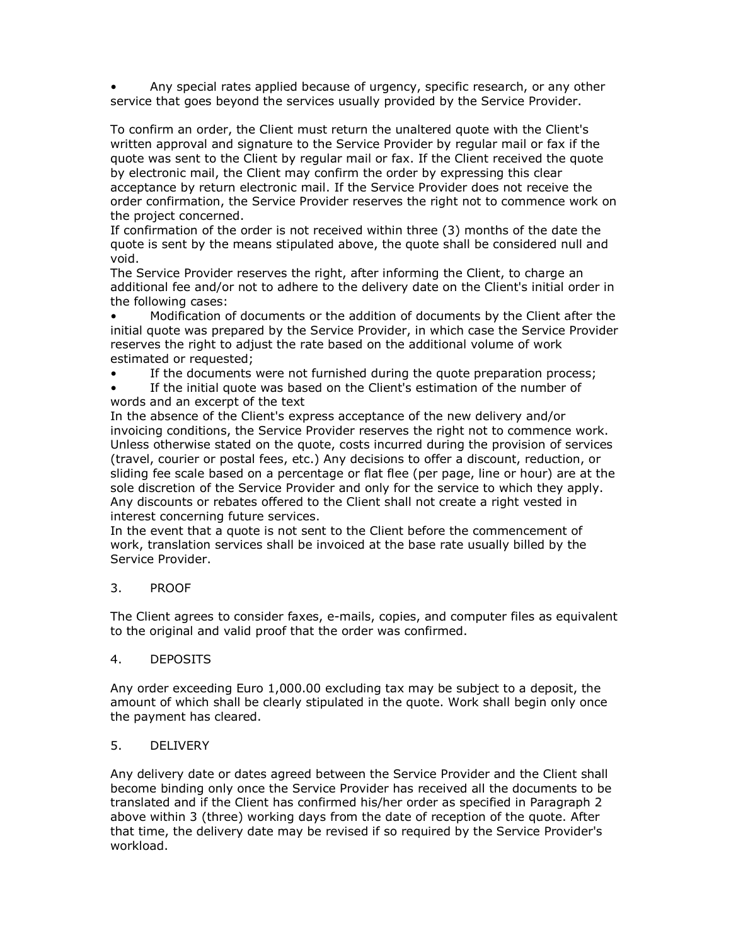• Any special rates applied because of urgency, specific research, or any other service that goes beyond the services usually provided by the Service Provider.

To confirm an order, the Client must return the unaltered quote with the Client's written approval and signature to the Service Provider by regular mail or fax if the quote was sent to the Client by regular mail or fax. If the Client received the quote by electronic mail, the Client may confirm the order by expressing this clear acceptance by return electronic mail. If the Service Provider does not receive the order confirmation, the Service Provider reserves the right not to commence work on the project concerned.

If confirmation of the order is not received within three (3) months of the date the quote is sent by the means stipulated above, the quote shall be considered null and void.

The Service Provider reserves the right, after informing the Client, to charge an additional fee and/or not to adhere to the delivery date on the Client's initial order in the following cases:

• Modification of documents or the addition of documents by the Client after the initial quote was prepared by the Service Provider, in which case the Service Provider reserves the right to adjust the rate based on the additional volume of work estimated or requested;

• If the documents were not furnished during the quote preparation process;

If the initial quote was based on the Client's estimation of the number of words and an excerpt of the text

In the absence of the Client's express acceptance of the new delivery and/or invoicing conditions, the Service Provider reserves the right not to commence work. Unless otherwise stated on the quote, costs incurred during the provision of services (travel, courier or postal fees, etc.) Any decisions to offer a discount, reduction, or sliding fee scale based on a percentage or flat flee (per page, line or hour) are at the sole discretion of the Service Provider and only for the service to which they apply. Any discounts or rebates offered to the Client shall not create a right vested in interest concerning future services.

In the event that a quote is not sent to the Client before the commencement of work, translation services shall be invoiced at the base rate usually billed by the Service Provider.

## 3. PROOF

The Client agrees to consider faxes, e-mails, copies, and computer files as equivalent to the original and valid proof that the order was confirmed.

#### 4. DEPOSITS

Any order exceeding Euro 1,000.00 excluding tax may be subject to a deposit, the amount of which shall be clearly stipulated in the quote. Work shall begin only once the payment has cleared.

#### 5. DELIVERY

Any delivery date or dates agreed between the Service Provider and the Client shall become binding only once the Service Provider has received all the documents to be translated and if the Client has confirmed his/her order as specified in Paragraph 2 above within 3 (three) working days from the date of reception of the quote. After that time, the delivery date may be revised if so required by the Service Provider's workload.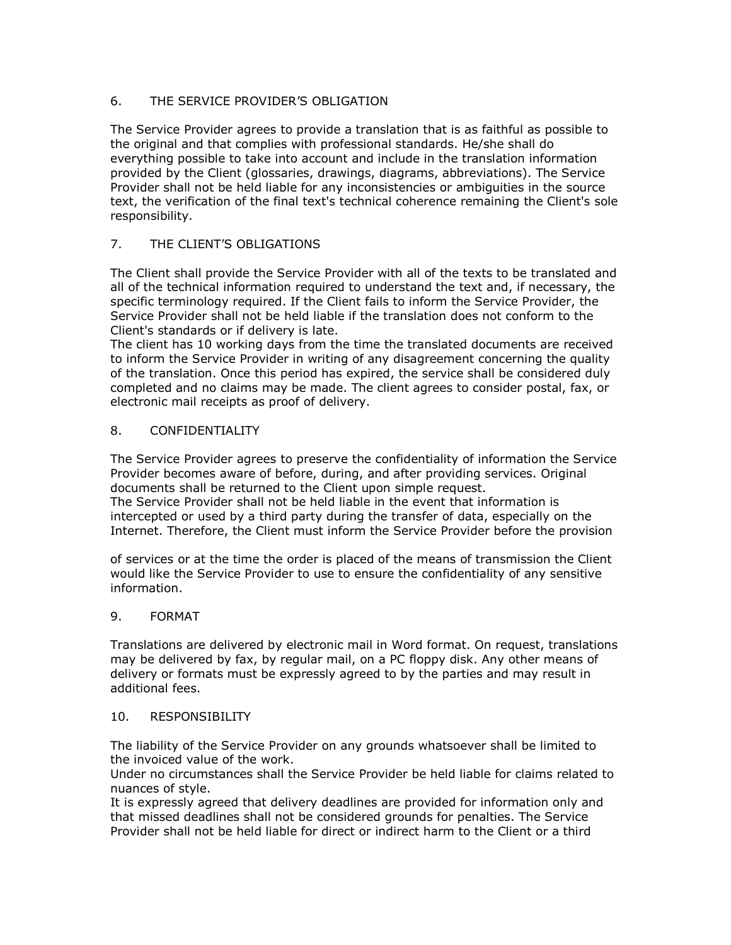## 6. THE SERVICE PROVIDER'S OBLIGATION

The Service Provider agrees to provide a translation that is as faithful as possible to the original and that complies with professional standards. He/she shall do everything possible to take into account and include in the translation information provided by the Client (glossaries, drawings, diagrams, abbreviations). The Service Provider shall not be held liable for any inconsistencies or ambiguities in the source text, the verification of the final text's technical coherence remaining the Client's sole responsibility.

## 7. THE CLIENT'S OBLIGATIONS

The Client shall provide the Service Provider with all of the texts to be translated and all of the technical information required to understand the text and, if necessary, the specific terminology required. If the Client fails to inform the Service Provider, the Service Provider shall not be held liable if the translation does not conform to the Client's standards or if delivery is late.

The client has 10 working days from the time the translated documents are received to inform the Service Provider in writing of any disagreement concerning the quality of the translation. Once this period has expired, the service shall be considered duly completed and no claims may be made. The client agrees to consider postal, fax, or electronic mail receipts as proof of delivery.

## 8. CONFIDENTIALITY

The Service Provider agrees to preserve the confidentiality of information the Service Provider becomes aware of before, during, and after providing services. Original documents shall be returned to the Client upon simple request.

The Service Provider shall not be held liable in the event that information is intercepted or used by a third party during the transfer of data, especially on the Internet. Therefore, the Client must inform the Service Provider before the provision

of services or at the time the order is placed of the means of transmission the Client would like the Service Provider to use to ensure the confidentiality of any sensitive information.

## 9. FORMAT

Translations are delivered by electronic mail in Word format. On request, translations may be delivered by fax, by regular mail, on a PC floppy disk. Any other means of delivery or formats must be expressly agreed to by the parties and may result in additional fees.

#### 10. RESPONSIBILITY

The liability of the Service Provider on any grounds whatsoever shall be limited to the invoiced value of the work.

Under no circumstances shall the Service Provider be held liable for claims related to nuances of style.

It is expressly agreed that delivery deadlines are provided for information only and that missed deadlines shall not be considered grounds for penalties. The Service Provider shall not be held liable for direct or indirect harm to the Client or a third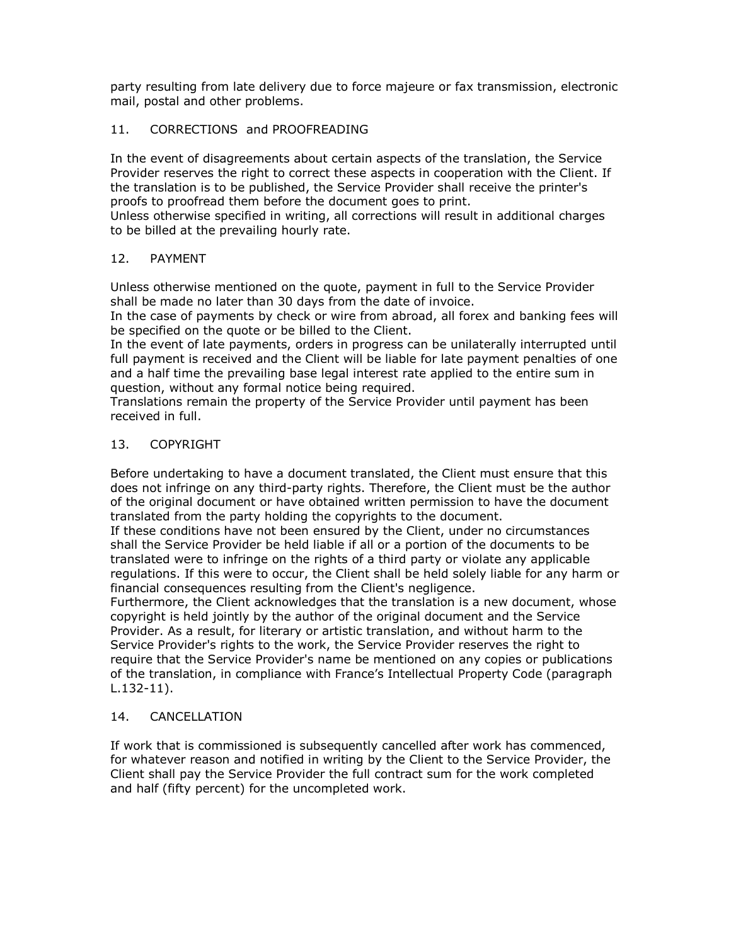party resulting from late delivery due to force majeure or fax transmission, electronic mail, postal and other problems.

### 11. CORRECTIONS and PROOFREADING

In the event of disagreements about certain aspects of the translation, the Service Provider reserves the right to correct these aspects in cooperation with the Client. If the translation is to be published, the Service Provider shall receive the printer's proofs to proofread them before the document goes to print.

Unless otherwise specified in writing, all corrections will result in additional charges to be billed at the prevailing hourly rate.

#### 12. PAYMENT

Unless otherwise mentioned on the quote, payment in full to the Service Provider shall be made no later than 30 days from the date of invoice.

In the case of payments by check or wire from abroad, all forex and banking fees will be specified on the quote or be billed to the Client.

In the event of late payments, orders in progress can be unilaterally interrupted until full payment is received and the Client will be liable for late payment penalties of one and a half time the prevailing base legal interest rate applied to the entire sum in question, without any formal notice being required.

Translations remain the property of the Service Provider until payment has been received in full.

#### 13. COPYRIGHT

Before undertaking to have a document translated, the Client must ensure that this does not infringe on any third-party rights. Therefore, the Client must be the author of the original document or have obtained written permission to have the document translated from the party holding the copyrights to the document.

If these conditions have not been ensured by the Client, under no circumstances shall the Service Provider be held liable if all or a portion of the documents to be translated were to infringe on the rights of a third party or violate any applicable regulations. If this were to occur, the Client shall be held solely liable for any harm or financial consequences resulting from the Client's negligence.

Furthermore, the Client acknowledges that the translation is a new document, whose copyright is held jointly by the author of the original document and the Service Provider. As a result, for literary or artistic translation, and without harm to the Service Provider's rights to the work, the Service Provider reserves the right to require that the Service Provider's name be mentioned on any copies or publications of the translation, in compliance with France's Intellectual Property Code (paragraph L.132-11).

#### 14. CANCELLATION

If work that is commissioned is subsequently cancelled after work has commenced, for whatever reason and notified in writing by the Client to the Service Provider, the Client shall pay the Service Provider the full contract sum for the work completed and half (fifty percent) for the uncompleted work.